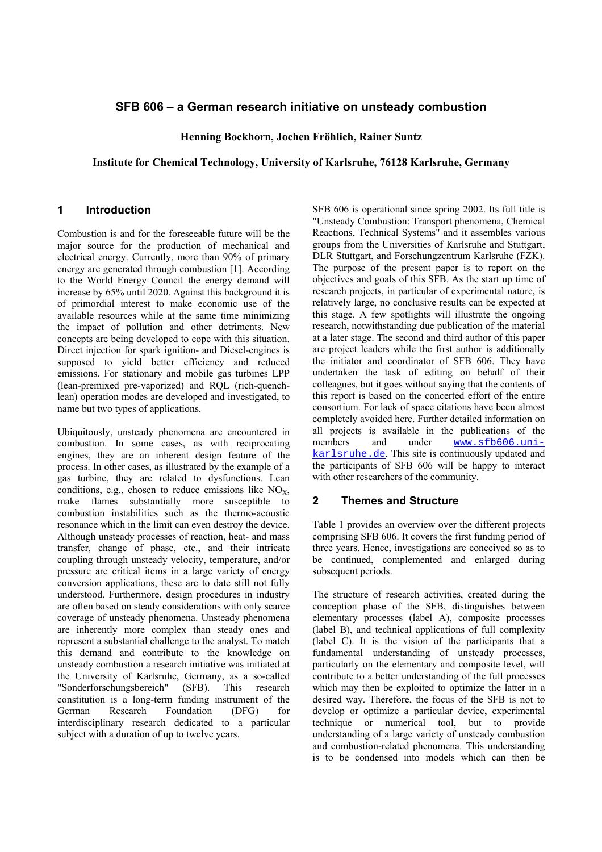# **SFB 606 – a German research initiative on unsteady combustion**

**Henning Bockhorn, Jochen Fröhlich, Rainer Suntz** 

#### **Institute for Chemical Technology, University of Karlsruhe, 76128 Karlsruhe, Germany**

## **1 Introduction**

Combustion is and for the foreseeable future will be the major source for the production of mechanical and electrical energy. Currently, more than 90% of primary energy are generated through combustion [1]. According to the World Energy Council the energy demand will increase by 65% until 2020. Against this background it is of primordial interest to make economic use of the available resources while at the same time minimizing the impact of pollution and other detriments. New concepts are being developed to cope with this situation. Direct injection for spark ignition- and Diesel-engines is supposed to yield better efficiency and reduced emissions. For stationary and mobile gas turbines LPP (lean-premixed pre-vaporized) and RQL (rich-quenchlean) operation modes are developed and investigated, to name but two types of applications.

Ubiquitously, unsteady phenomena are encountered in combustion. In some cases, as with reciprocating engines, they are an inherent design feature of the process. In other cases, as illustrated by the example of a gas turbine, they are related to dysfunctions. Lean conditions, e.g., chosen to reduce emissions like  $NO<sub>x</sub>$ , make flames substantially more susceptible to combustion instabilities such as the thermo-acoustic resonance which in the limit can even destroy the device. Although unsteady processes of reaction, heat- and mass transfer, change of phase, etc., and their intricate coupling through unsteady velocity, temperature, and/or pressure are critical items in a large variety of energy conversion applications, these are to date still not fully understood. Furthermore, design procedures in industry are often based on steady considerations with only scarce coverage of unsteady phenomena. Unsteady phenomena are inherently more complex than steady ones and represent a substantial challenge to the analyst. To match this demand and contribute to the knowledge on unsteady combustion a research initiative was initiated at the University of Karlsruhe, Germany, as a so-called "Sonderforschungsbereich" (SFB). This research constitution is a long-term funding instrument of the German Research Foundation (DFG) for interdisciplinary research dedicated to a particular subject with a duration of up to twelve years.

SFB 606 is operational since spring 2002. Its full title is "Unsteady Combustion: Transport phenomena, Chemical Reactions, Technical Systems" and it assembles various groups from the Universities of Karlsruhe and Stuttgart, DLR Stuttgart, and Forschungzentrum Karlsruhe (FZK). The purpose of the present paper is to report on the objectives and goals of this SFB. As the start up time of research projects, in particular of experimental nature, is relatively large, no conclusive results can be expected at this stage. A few spotlights will illustrate the ongoing research, notwithstanding due publication of the material at a later stage. The second and third author of this paper are project leaders while the first author is additionally the initiator and coordinator of SFB 606. They have undertaken the task of editing on behalf of their colleagues, but it goes without saying that the contents of this report is based on the concerted effort of the entire consortium. For lack of space citations have been almost completely avoided here. Further detailed information on all projects is available in the publications of the members and under www.sfb606.unikarlsruhe.de. This site is continuously updated and the participants of SFB 606 will be happy to interact with other researchers of the community.

# **2 Themes and Structure**

Table 1 provides an overview over the different projects comprising SFB 606. It covers the first funding period of three years. Hence, investigations are conceived so as to be continued, complemented and enlarged during subsequent periods.

The structure of research activities, created during the conception phase of the SFB, distinguishes between elementary processes (label A), composite processes (label B), and technical applications of full complexity (label C). It is the vision of the participants that a fundamental understanding of unsteady processes, particularly on the elementary and composite level, will contribute to a better understanding of the full processes which may then be exploited to optimize the latter in a desired way. Therefore, the focus of the SFB is not to develop or optimize a particular device, experimental technique or numerical tool, but to provide understanding of a large variety of unsteady combustion and combustion-related phenomena. This understanding is to be condensed into models which can then be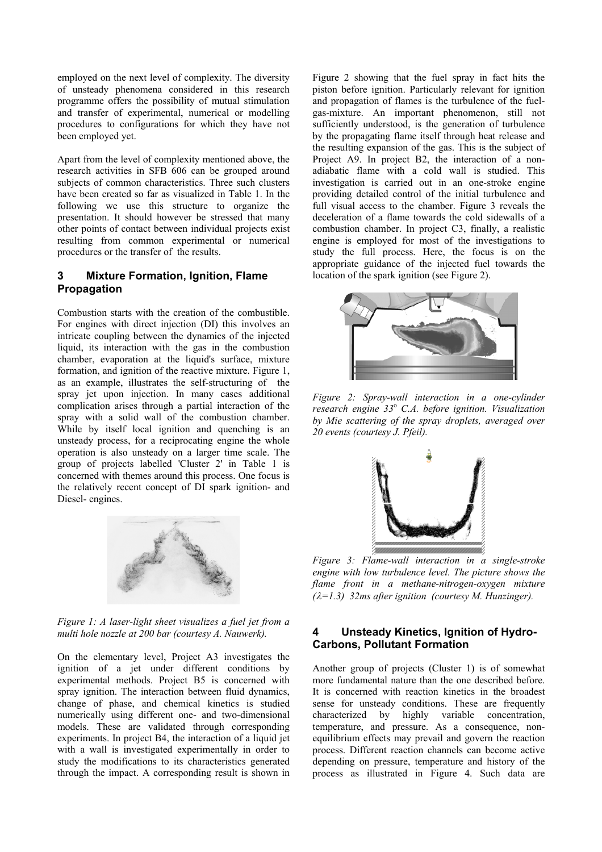employed on the next level of complexity. The diversity of unsteady phenomena considered in this research programme offers the possibility of mutual stimulation and transfer of experimental, numerical or modelling procedures to configurations for which they have not been employed yet.

Apart from the level of complexity mentioned above, the research activities in SFB 606 can be grouped around subjects of common characteristics. Three such clusters have been created so far as visualized in Table 1. In the following we use this structure to organize the presentation. It should however be stressed that many other points of contact between individual projects exist resulting from common experimental or numerical procedures or the transfer of the results.

## **3 Mixture Formation, Ignition, Flame Propagation**

Combustion starts with the creation of the combustible. For engines with direct injection (DI) this involves an intricate coupling between the dynamics of the injected liquid, its interaction with the gas in the combustion chamber, evaporation at the liquid's surface, mixture formation, and ignition of the reactive mixture. Figure 1, as an example, illustrates the self-structuring of the spray jet upon injection. In many cases additional complication arises through a partial interaction of the spray with a solid wall of the combustion chamber. While by itself local ignition and quenching is an unsteady process, for a reciprocating engine the whole operation is also unsteady on a larger time scale. The group of projects labelled 'Cluster 2' in Table 1 is concerned with themes around this process. One focus is the relatively recent concept of DI spark ignition- and Diesel- engines.



*Figure 1: A laser-light sheet visualizes a fuel jet from a multi hole nozzle at 200 bar (courtesy A. Nauwerk).* 

On the elementary level, Project A3 investigates the ignition of a jet under different conditions by experimental methods. Project B5 is concerned with spray ignition. The interaction between fluid dynamics, change of phase, and chemical kinetics is studied numerically using different one- and two-dimensional models. These are validated through corresponding experiments. In project B4, the interaction of a liquid jet with a wall is investigated experimentally in order to study the modifications to its characteristics generated through the impact. A corresponding result is shown in Figure 2 showing that the fuel spray in fact hits the piston before ignition. Particularly relevant for ignition and propagation of flames is the turbulence of the fuelgas-mixture. An important phenomenon, still not sufficiently understood, is the generation of turbulence by the propagating flame itself through heat release and the resulting expansion of the gas. This is the subject of Project A9. In project B2, the interaction of a nonadiabatic flame with a cold wall is studied. This investigation is carried out in an one-stroke engine providing detailed control of the initial turbulence and full visual access to the chamber. Figure 3 reveals the deceleration of a flame towards the cold sidewalls of a combustion chamber. In project C3, finally, a realistic engine is employed for most of the investigations to study the full process. Here, the focus is on the appropriate guidance of the injected fuel towards the location of the spark ignition (see Figure 2).



*Figure 2: Spray-wall interaction in a one-cylinder research engine 33*<sup>o</sup>  *C.A. before ignition. Visualization by Mie scattering of the spray droplets, averaged over 20 events (courtesy J. Pfeil).* 



*Figure 3: Flame-wall interaction in a single-stroke engine with low turbulence level. The picture shows the flame front in a methane-nitrogen-oxygen mixture (*λ*=1.3) 32ms after ignition (courtesy M. Hunzinger).* 

## **4 Unsteady Kinetics, Ignition of Hydro-Carbons, Pollutant Formation**

Another group of projects (Cluster 1) is of somewhat more fundamental nature than the one described before. It is concerned with reaction kinetics in the broadest sense for unsteady conditions. These are frequently characterized by highly variable concentration, temperature, and pressure. As a consequence, nonequilibrium effects may prevail and govern the reaction process. Different reaction channels can become active depending on pressure, temperature and history of the process as illustrated in Figure 4. Such data are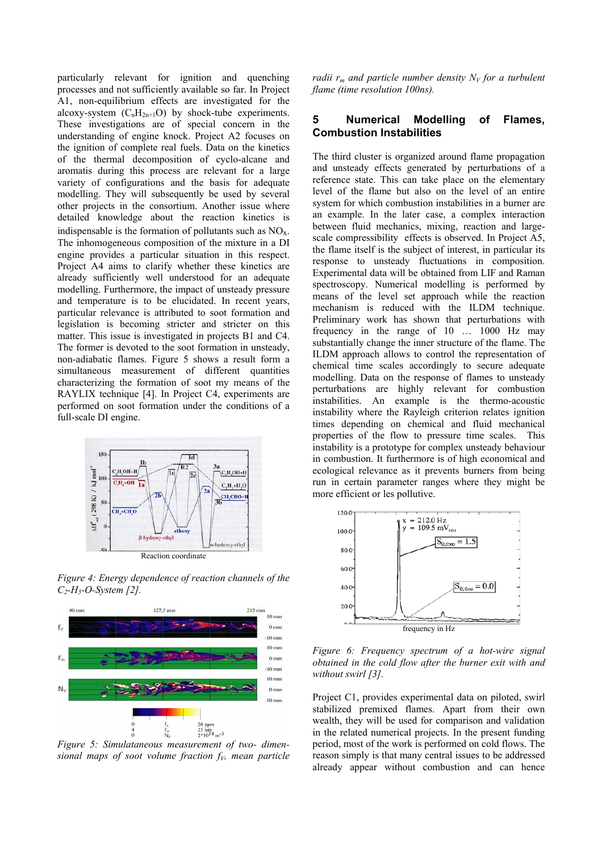particularly relevant for ignition and quenching processes and not sufficiently available so far. In Project A1, non-equilibrium effects are investigated for the alcoxy-system  $(C_nH_{2n+1}O)$  by shock-tube experiments. These investigations are of special concern in the understanding of engine knock. Project A2 focuses on the ignition of complete real fuels. Data on the kinetics of the thermal decomposition of cyclo-alcane and aromatis during this process are relevant for a large variety of configurations and the basis for adequate modelling. They will subsequently be used by several other projects in the consortium. Another issue where detailed knowledge about the reaction kinetics is indispensable is the formation of pollutants such as  $NO<sub>x</sub>$ . The inhomogeneous composition of the mixture in a DI engine provides a particular situation in this respect. Project A4 aims to clarify whether these kinetics are already sufficiently well understood for an adequate modelling. Furthermore, the impact of unsteady pressure and temperature is to be elucidated. In recent years, particular relevance is attributed to soot formation and legislation is becoming stricter and stricter on this matter. This issue is investigated in projects B1 and C4. The former is devoted to the soot formation in unsteady, non-adiabatic flames. Figure 5 shows a result form a simultaneous measurement of different quantities characterizing the formation of soot my means of the RAYLIX technique [4]. In Project C4, experiments are performed on soot formation under the conditions of a full-scale DI engine.



*Figure 4: Energy dependence of reaction channels of the C2-H5-O-System [2].* 



sional maps of soot volume fraction  $f<sub>V</sub>$ , mean particle

*radii*  $r_m$  *and particle number density*  $N_V$  *for a turbulent flame (time resolution 100ns).* 

## **5 Numerical Modelling of Flames, Combustion Instabilities**

The third cluster is organized around flame propagation and unsteady effects generated by perturbations of a reference state. This can take place on the elementary level of the flame but also on the level of an entire system for which combustion instabilities in a burner are an example. In the later case, a complex interaction between fluid mechanics, mixing, reaction and largescale compressibility effects is observed. In Project A5, the flame itself is the subject of interest, in particular its response to unsteady fluctuations in composition. Experimental data will be obtained from LIF and Raman spectroscopy. Numerical modelling is performed by means of the level set approach while the reaction mechanism is reduced with the ILDM technique. Preliminary work has shown that perturbations with frequency in the range of 10 … 1000 Hz may substantially change the inner structure of the flame. The ILDM approach allows to control the representation of chemical time scales accordingly to secure adequate modelling. Data on the response of flames to unsteady perturbations are highly relevant for combustion instabilities. An example is the thermo-acoustic instability where the Rayleigh criterion relates ignition times depending on chemical and fluid mechanical properties of the flow to pressure time scales. This instability is a prototype for complex unsteady behaviour in combustion. It furthermore is of high economical and ecological relevance as it prevents burners from being run in certain parameter ranges where they might be more efficient or les pollutive.



*Figure 6: Frequency spectrum of a hot-wire signal obtained in the cold flow after the burner exit with and without swirl [3].* 

Project C1, provides experimental data on piloted, swirl stabilized premixed flames. Apart from their own wealth, they will be used for comparison and validation in the related numerical projects. In the present funding period, most of the work is performed on cold flows. The reason simply is that many central issues to be addressed already appear without combustion and can hence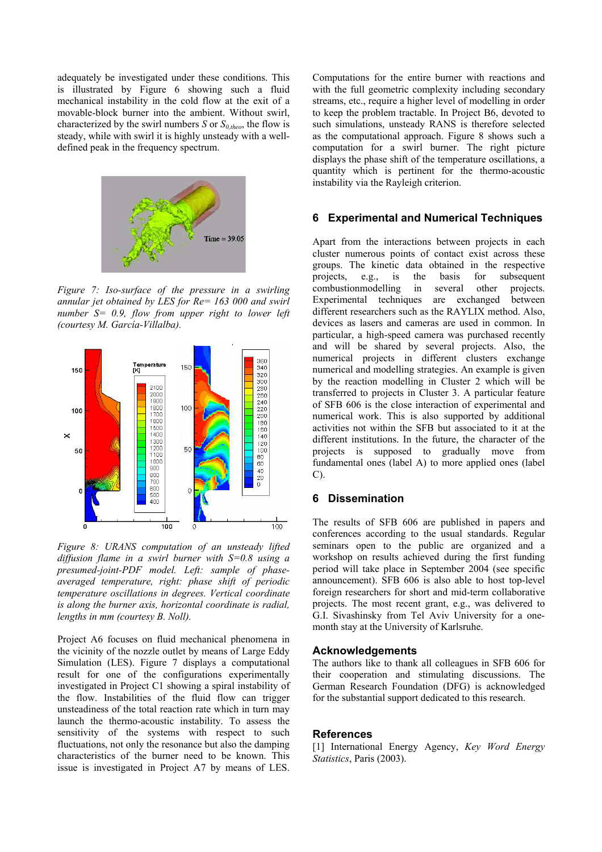adequately be investigated under these conditions. This is illustrated by Figure 6 showing such a fluid mechanical instability in the cold flow at the exit of a movable-block burner into the ambient. Without swirl, characterized by the swirl numbers *S* or  $S_{0,theo}$ , the flow is steady, while with swirl it is highly unsteady with a welldefined peak in the frequency spectrum.



*Figure 7: Iso-surface of the pressure in a swirling annular jet obtained by LES for Re= 163 000 and swirl number S= 0.9, flow from upper right to lower left (courtesy M. García-Villalba).* 



*Figure 8: URANS computation of an unsteady lifted diffusion flame in a swirl burner with S=0.8 using a presumed-joint-PDF model. Left: sample of phaseaveraged temperature, right: phase shift of periodic temperature oscillations in degrees. Vertical coordinate is along the burner axis, horizontal coordinate is radial, lengths in mm (courtesy B. Noll).* 

Project A6 focuses on fluid mechanical phenomena in the vicinity of the nozzle outlet by means of Large Eddy Simulation (LES). Figure 7 displays a computational result for one of the configurations experimentally investigated in Project C1 showing a spiral instability of the flow. Instabilities of the fluid flow can trigger unsteadiness of the total reaction rate which in turn may launch the thermo-acoustic instability. To assess the sensitivity of the systems with respect to such fluctuations, not only the resonance but also the damping characteristics of the burner need to be known. This issue is investigated in Project A7 by means of LES.

Computations for the entire burner with reactions and with the full geometric complexity including secondary streams, etc., require a higher level of modelling in order to keep the problem tractable. In Project B6, devoted to such simulations, unsteady RANS is therefore selected as the computational approach. Figure 8 shows such a computation for a swirl burner. The right picture displays the phase shift of the temperature oscillations, a quantity which is pertinent for the thermo-acoustic instability via the Rayleigh criterion.

#### **6 Experimental and Numerical Techniques**

Apart from the interactions between projects in each cluster numerous points of contact exist across these groups. The kinetic data obtained in the respective projects, e.g., is the basis for subsequent combustionmodelling in several other projects. Experimental techniques are exchanged between different researchers such as the RAYLIX method. Also, devices as lasers and cameras are used in common. In particular, a high-speed camera was purchased recently and will be shared by several projects. Also, the numerical projects in different clusters exchange numerical and modelling strategies. An example is given by the reaction modelling in Cluster 2 which will be transferred to projects in Cluster 3. A particular feature of SFB 606 is the close interaction of experimental and numerical work. This is also supported by additional activities not within the SFB but associated to it at the different institutions. In the future, the character of the projects is supposed to gradually move from fundamental ones (label A) to more applied ones (label C).

#### **6 Dissemination**

The results of SFB 606 are published in papers and conferences according to the usual standards. Regular seminars open to the public are organized and a workshop on results achieved during the first funding period will take place in September 2004 (see specific announcement). SFB 606 is also able to host top-level foreign researchers for short and mid-term collaborative projects. The most recent grant, e.g., was delivered to G.I. Sivashinsky from Tel Aviv University for a onemonth stay at the University of Karlsruhe.

#### **Acknowledgements**

The authors like to thank all colleagues in SFB 606 for their cooperation and stimulating discussions. The German Research Foundation (DFG) is acknowledged for the substantial support dedicated to this research.

#### **References**

[1] International Energy Agency, *Key Word Energy Statistics*, Paris (2003).